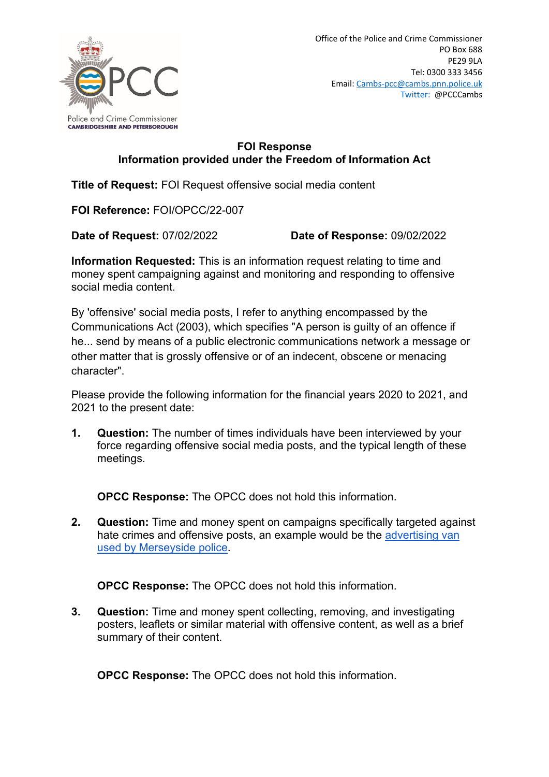

## **FOI Response Information provided under the Freedom of Information Act**

**Title of Request:** FOI Request offensive social media content

**FOI Reference:** FOI/OPCC/22-007

**Date of Request:** 07/02/2022 **Date of Response:** 09/02/2022

**Information Requested:** This is an information request relating to time and money spent campaigning against and monitoring and responding to offensive social media content.

By 'offensive' social media posts, I refer to anything encompassed by the Communications Act (2003), which specifies "A person is guilty of an offence if he... send by means of a public electronic communications network a message or other matter that is grossly offensive or of an indecent, obscene or menacing character".

Please provide the following information for the financial years 2020 to 2021, and 2021 to the present date:

**1. Question:** The number of times individuals have been interviewed by your force regarding offensive social media posts, and the typical length of these meetings.

**OPCC Response:** The OPCC does not hold this information.

**2. Question:** Time and money spent on campaigns specifically targeted against hate crimes and offensive posts, an example would be the [advertising van](https://gbr01.safelinks.protection.outlook.com/?url=https%3A%2F%2Fwww.bbc.co.uk%2Fnews%2Fuk-england-merseyside-56154542&data=04%7C01%7Ccambs-pcc%40cambs.police.uk%7Cda25132ee97e427fd21f08d9ea48fa58%7Ca3c59d1bb8f142999d6a39ad8f570422%7C0%7C0%7C637798422407136867%7CUnknown%7CTWFpbGZsb3d8eyJWIjoiMC4wLjAwMDAiLCJQIjoiV2luMzIiLCJBTiI6Ik1haWwiLCJXVCI6Mn0%3D%7C2000&sdata=HLOqQYC1J%2FDQh%2FT9pW1%2F%2BvqVt6UzUmkOduiIocRQUZ4%3D&reserved=0)  [used by Merseyside police.](https://gbr01.safelinks.protection.outlook.com/?url=https%3A%2F%2Fwww.bbc.co.uk%2Fnews%2Fuk-england-merseyside-56154542&data=04%7C01%7Ccambs-pcc%40cambs.police.uk%7Cda25132ee97e427fd21f08d9ea48fa58%7Ca3c59d1bb8f142999d6a39ad8f570422%7C0%7C0%7C637798422407136867%7CUnknown%7CTWFpbGZsb3d8eyJWIjoiMC4wLjAwMDAiLCJQIjoiV2luMzIiLCJBTiI6Ik1haWwiLCJXVCI6Mn0%3D%7C2000&sdata=HLOqQYC1J%2FDQh%2FT9pW1%2F%2BvqVt6UzUmkOduiIocRQUZ4%3D&reserved=0)

**OPCC Response:** The OPCC does not hold this information.

**3. Question:** Time and money spent collecting, removing, and investigating posters, leaflets or similar material with offensive content, as well as a brief summary of their content.

**OPCC Response:** The OPCC does not hold this information.